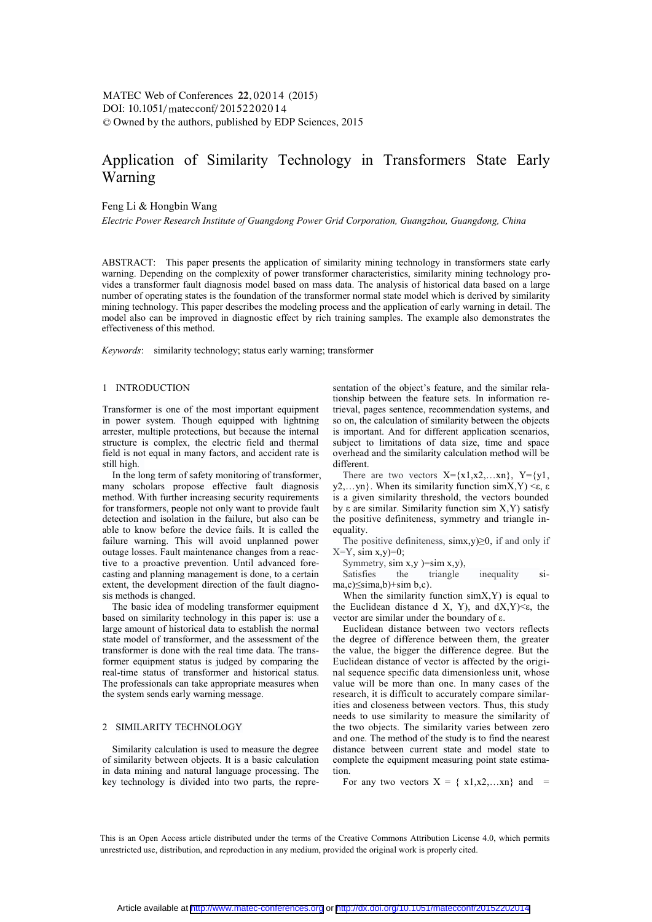# Application of Similarity Technology in Transformers State Early Warning

## Feng Li & Hongbin Wang

*Electric Power Research Institute of Guangdong Power Grid Corporation, Guangzhou, Guangdong, China* 

ABSTRACT: This paper presents the application of similarity mining technology in transformers state early warning. Depending on the complexity of power transformer characteristics, similarity mining technology provides a transformer fault diagnosis model based on mass data. The analysis of historical data based on a large number of operating states is the foundation of the transformer normal state model which is derived by similarity mining technology. This paper describes the modeling process and the application of early warning in detail. The model also can be improved in diagnostic effect by rich training samples. The example also demonstrates the effectiveness of this method.

*Keywords*: similarity technology; status early warning; transformer

## 1 INTRODUCTION

Transformer is one of the most important equipment in power system. Though equipped with lightning arrester, multiple protections, but because the internal structure is complex, the electric field and thermal field is not equal in many factors, and accident rate is still high.

In the long term of safety monitoring of transformer, many scholars propose effective fault diagnosis method. With further increasing security requirements for transformers, people not only want to provide fault detection and isolation in the failure, but also can be able to know before the device fails. It is called the failure warning. This will avoid unplanned power outage losses. Fault maintenance changes from a reactive to a proactive prevention. Until advanced forecasting and planning management is done, to a certain extent, the development direction of the fault diagnosis methods is changed.

The basic idea of modeling transformer equipment based on similarity technology in this paper is: use a large amount of historical data to establish the normal state model of transformer, and the assessment of the transformer is done with the real time data. The transformer equipment status is judged by comparing the real-time status of transformer and historical status. The professionals can take appropriate measures when the system sends early warning message.

## 2 SIMILARITY TECHNOLOGY

Similarity calculation is used to measure the degree of similarity between objects. It is a basic calculation in data mining and natural language processing. The key technology is divided into two parts, the representation of the object's feature, and the similar relationship between the feature sets. In information retrieval, pages sentence, recommendation systems, and so on, the calculation of similarity between the objects is important. And for different application scenarios, subject to limitations of data size, time and space overhead and the similarity calculation method will be different.

There are two vectors  $X = \{x1, x2, \ldots xn\}$ ,  $Y = \{y1, y2, \ldots xn\}$ y2,…yn}. When its similarity function  $\sin X$ ,  $Y$ ) <ε, ε is a given similarity threshold, the vectors bounded by ε are similar. Similarity function sim X,Y) satisfy the positive definiteness, symmetry and triangle inequality.

The positive definiteness,  $\sin x$ ,  $y$  $\geq 0$ , if and only if  $X=Y$ , sim  $x,y=0$ ;

Symmetry,  $\sin x, y$  )= $\sin x, y$ ),<br>Satisfies the triangle Satisfies the triangle inequality sima,c)≤sima,b)+sim b,c).

When the similarity function  $\text{simX,Y}$  is equal to the Euclidean distance d X, Y), and  $dX, Y$  $\leq \epsilon$ , the vector are similar under the boundary of ε.

Euclidean distance between two vectors reflects the degree of difference between them, the greater the value, the bigger the difference degree. But the Euclidean distance of vector is affected by the original sequence specific data dimensionless unit, whose value will be more than one. In many cases of the research, it is difficult to accurately compare similarities and closeness between vectors. Thus, this study needs to use similarity to measure the similarity of the two objects. The similarity varies between zero and one. The method of the study is to find the nearest distance between current state and model state to complete the equipment measuring point state estimation.

For any two vectors  $X = \{x1, x2, \dots xn\}$  and =

This is an Open Access article distributed under the terms of the Creative Commons Attribution License 4.0, which permits unrestricted use, distribution, and reproduction in any medium, provided the original work is properly cited.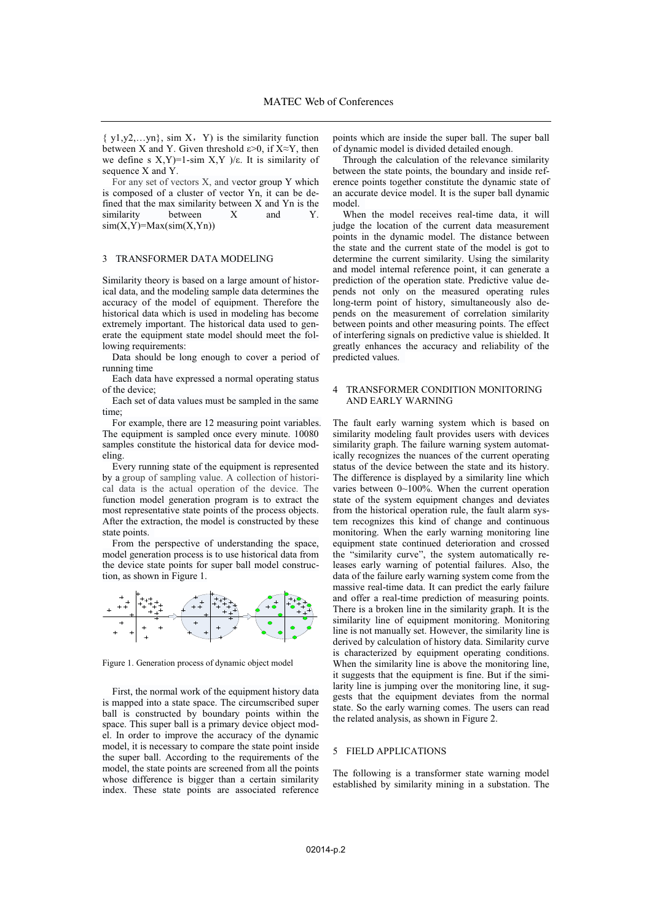$\{y1,y2,...yn\}$ , sim X, Y) is the similarity function between X and Y. Given threshold  $\varepsilon > 0$ , if X≈Y, then we define s  $X, Y$ )=1-sim  $X, Y$  )/ε. It is similarity of sequence X and Y.

For any set of vectors X, and vector group Y which is composed of a cluster of vector Yn, it can be defined that the max similarity between  $X$  and  $Y$ n is the similarity between  $X$  and  $Y$ . similarity between X and Y.  $sim(X,Y)=Max(sim(X,Yn))$ 

#### 3 TRANSFORMER DATA MODELING

Similarity theory is based on a large amount of historical data, and the modeling sample data determines the accuracy of the model of equipment. Therefore the historical data which is used in modeling has become extremely important. The historical data used to generate the equipment state model should meet the following requirements:

Data should be long enough to cover a period of running time

Each data have expressed a normal operating status of the device;

Each set of data values must be sampled in the same time;

For example, there are 12 measuring point variables. The equipment is sampled once every minute. 10080 samples constitute the historical data for device modeling.

Every running state of the equipment is represented by a group of sampling value. A collection of historical data is the actual operation of the device. The function model generation program is to extract the most representative state points of the process objects. After the extraction, the model is constructed by these state points.

From the perspective of understanding the space, model generation process is to use historical data from the device state points for super ball model construction, as shown in Figure 1.



Figure 1. Generation process of dynamic object model

First, the normal work of the equipment history data is mapped into a state space. The circumscribed super ball is constructed by boundary points within the space. This super ball is a primary device object model. In order to improve the accuracy of the dynamic model, it is necessary to compare the state point inside the super ball. According to the requirements of the model, the state points are screened from all the points whose difference is bigger than a certain similarity index. These state points are associated reference

points which are inside the super ball. The super ball of dynamic model is divided detailed enough.

Through the calculation of the relevance similarity between the state points, the boundary and inside reference points together constitute the dynamic state of an accurate device model. It is the super ball dynamic model.

When the model receives real-time data, it will judge the location of the current data measurement points in the dynamic model. The distance between the state and the current state of the model is got to determine the current similarity. Using the similarity and model internal reference point, it can generate a prediction of the operation state. Predictive value depends not only on the measured operating rules long-term point of history, simultaneously also depends on the measurement of correlation similarity between points and other measuring points. The effect of interfering signals on predictive value is shielded. It greatly enhances the accuracy and reliability of the predicted values.

#### 4 TRANSFORMER CONDITION MONITORING AND EARLY WARNING

The fault early warning system which is based on similarity modeling fault provides users with devices similarity graph. The failure warning system automatically recognizes the nuances of the current operating status of the device between the state and its history. The difference is displayed by a similarity line which varies between 0~100%. When the current operation state of the system equipment changes and deviates from the historical operation rule, the fault alarm system recognizes this kind of change and continuous monitoring. When the early warning monitoring line equipment state continued deterioration and crossed the "similarity curve", the system automatically releases early warning of potential failures. Also, the data of the failure early warning system come from the massive real-time data. It can predict the early failure and offer a real-time prediction of measuring points. There is a broken line in the similarity graph. It is the similarity line of equipment monitoring. Monitoring line is not manually set. However, the similarity line is derived by calculation of history data. Similarity curve is characterized by equipment operating conditions. When the similarity line is above the monitoring line, it suggests that the equipment is fine. But if the similarity line is jumping over the monitoring line, it suggests that the equipment deviates from the normal state. So the early warning comes. The users can read the related analysis, as shown in Figure 2.

## 5 FIELD APPLICATIONS

The following is a transformer state warning model established by similarity mining in a substation. The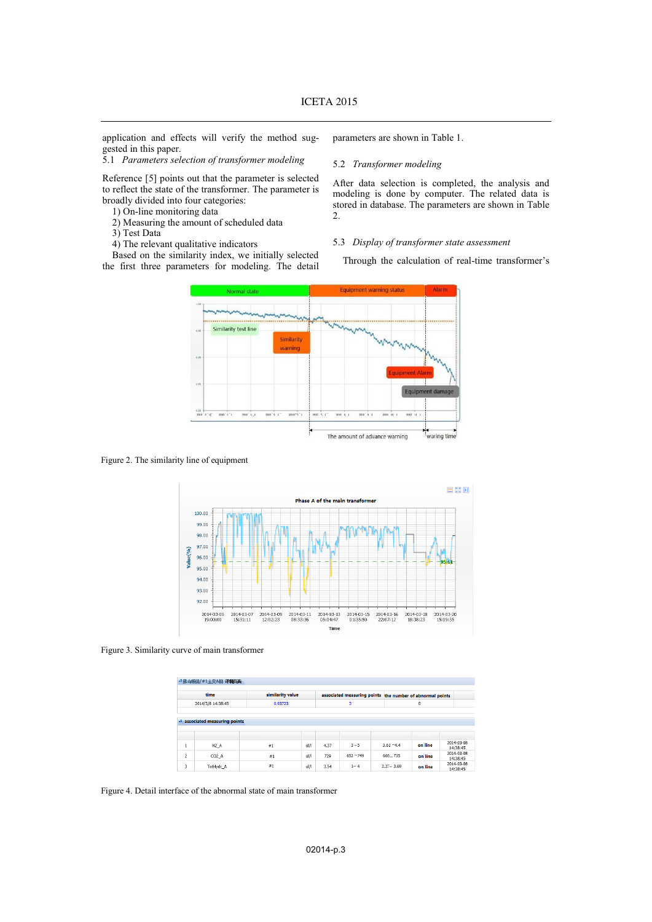application and effects will verify the method suggested in this paper.

5.1 *Parameters selection of transformer modeling* 

Reference [5] points out that the parameter is selected to reflect the state of the transformer. The parameter is broadly divided into four categories:

- 1) On-line monitoring data
- 2) Measuring the amount of scheduled data
- 3) Test Data
- 4) The relevant qualitative indicators

Based on the similarity index, we initially selected the first three parameters for modeling. The detail

parameters are shown in Table 1.

### 5.2 *Transformer modeling*

After data selection is completed, the analysis and modeling is done by computer. The related data is stored in database. The parameters are shown in Table 2.

## 5.3 *Display of transformer state assessment*

Through the calculation of real-time transformer's



Figure 2. The similarity line of equipment



Figure 3. Similarity curve of main transformer

|                           | · 佛山順徳/#1主変A相 详细页面                 |         |                  |      |             |               |                                                           |                        |
|---------------------------|------------------------------------|---------|------------------|------|-------------|---------------|-----------------------------------------------------------|------------------------|
| time<br>2014/3/8 14:38:45 |                                    |         | similarity value |      |             |               | associated measuring points the number of abnormal points |                        |
|                           |                                    | 0.93723 |                  |      | 3           |               | $\bf{0}$                                                  |                        |
|                           | <b>associated measuring points</b> |         |                  |      |             |               |                                                           |                        |
| $\mathbf{1}$              | H2A                                | #1      | ul/l             | 4.37 | $3 - 5$     | $3.61 - 4.4$  | on line                                                   | 2014-03-08<br>14:38:45 |
| $\overline{2}$            | CO <sub>2</sub> _A                 | #1      | ul/l             | 729  | $652 - 749$ | $666 - 735$   | on line                                                   | 2014-03-08<br>14:38:45 |
| 3                         | TotHydc A                          | #1      | ul/l             | 3.54 | $1 - 4$     | $2.27 - 3.69$ | on line                                                   | 2014-03-08<br>14:38:45 |

Figure 4. Detail interface of the abnormal state of main transformer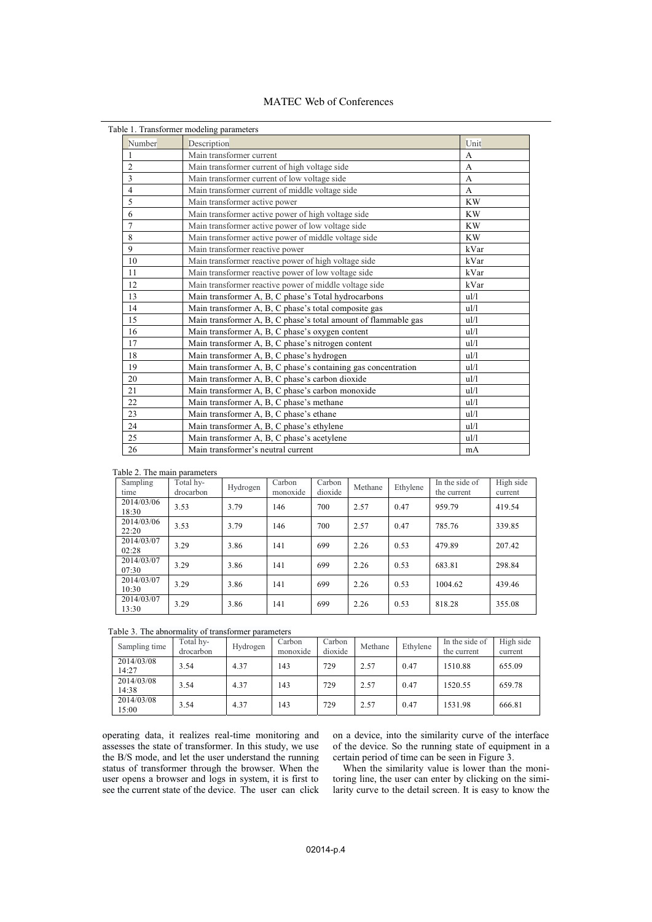## MATEC Web of Conferences

|                | Table 1. Transformer modeling parameters                       |                |
|----------------|----------------------------------------------------------------|----------------|
| Number         | Description                                                    | Unit           |
| 1              | Main transformer current                                       | A              |
| $\overline{c}$ | Main transformer current of high voltage side                  | A              |
| 3              | Main transformer current of low voltage side                   | $\overline{A}$ |
| $\overline{4}$ | Main transformer current of middle voltage side                | A              |
| 5              | Main transformer active power                                  | <b>KW</b>      |
| 6              | Main transformer active power of high voltage side             | <b>KW</b>      |
| $\overline{7}$ | Main transformer active power of low voltage side              | <b>KW</b>      |
| 8              | Main transformer active power of middle voltage side           | <b>KW</b>      |
| 9              | Main transformer reactive power                                | kVar           |
| 10             | Main transformer reactive power of high voltage side           | kVar           |
| 11             | Main transformer reactive power of low voltage side            | kVar           |
| 12             | Main transformer reactive power of middle voltage side         | kVar           |
| 13             | Main transformer A, B, C phase's Total hydrocarbons            | ul/l           |
| 14             | Main transformer A, B, C phase's total composite gas           | ul/l           |
| 15             | Main transformer A, B, C phase's total amount of flammable gas | ul/l           |
| 16             | Main transformer A, B, C phase's oxygen content                | ul/l           |
| 17             | Main transformer A, B, C phase's nitrogen content              | ul/l           |
| 18             | Main transformer A, B, C phase's hydrogen                      | ul/l           |
| 19             | Main transformer A, B, C phase's containing gas concentration  | ul/l           |
| 20             | Main transformer A, B, C phase's carbon dioxide                | ul/l           |
| 21             | Main transformer A, B, C phase's carbon monoxide               | ul/l           |
| 22             | Main transformer A, B, C phase's methane                       | ul/l           |
| 23             | Main transformer A, B, C phase's ethane                        | ul/l           |
| 24             | Main transformer A, B, C phase's ethylene                      | ul/l           |
| 25             | Main transformer A, B, C phase's acetylene                     | ul/l           |
| 26             | Main transformer's neutral current                             | mA             |

| Table 2. The main parameters |                        |          |                    |                   |         |          |                               |                      |
|------------------------------|------------------------|----------|--------------------|-------------------|---------|----------|-------------------------------|----------------------|
| Sampling<br>time             | Total hy-<br>drocarbon | Hydrogen | Carbon<br>monoxide | Carbon<br>dioxide | Methane | Ethylene | In the side of<br>the current | High side<br>current |
| 2014/03/06<br>18:30          | 3.53                   | 3.79     | 146                | 700               | 2.57    | 0.47     | 959.79                        | 419.54               |
| 2014/03/06<br>22:20          | 3.53                   | 3.79     | 146                | 700               | 2.57    | 0.47     | 785.76                        | 339.85               |
| 2014/03/07<br>02:28          | 3.29                   | 3.86     | 141                | 699               | 2.26    | 0.53     | 479.89                        | 207.42               |
| 2014/03/07<br>07:30          | 3.29                   | 3.86     | 141                | 699               | 2.26    | 0.53     | 683.81                        | 298.84               |
| 2014/03/07<br>10:30          | 3.29                   | 3.86     | 141                | 699               | 2.26    | 0.53     | 1004.62                       | 439.46               |
| 2014/03/07<br>13:30          | 3.29                   | 3.86     | 141                | 699               | 2.26    | 0.53     | 818.28                        | 355.08               |

| Table 3. The abnormality of transformer parameters |  |  |
|----------------------------------------------------|--|--|
|----------------------------------------------------|--|--|

| Sampling time       | Total hv-<br>drocarbon | Hydrogen | Carbon<br>monoxide | Carbon<br>dioxide | Methane | Ethylene | In the side of<br>the current | High side<br>current |
|---------------------|------------------------|----------|--------------------|-------------------|---------|----------|-------------------------------|----------------------|
| 2014/03/08<br>14:27 | 3.54                   | 4.37     | 143                | 729               | 2.57    | 0.47     | 1510.88                       | 655.09               |
| 2014/03/08<br>14:38 | 3.54                   | 4.37     | 143                | 729               | 2.57    | 0.47     | 1520.55                       | 659.78               |
| 2014/03/08<br>15:00 | 3.54                   | 4.37     | 143                | 729               | 2.57    | 0.47     | 1531.98                       | 666.81               |

operating data, it realizes real-time monitoring and assesses the state of transformer. In this study, we use the B/S mode, and let the user understand the running status of transformer through the browser. When the user opens a browser and logs in system, it is first to see the current state of the device. The user can click on a device, into the similarity curve of the interface of the device. So the running state of equipment in a certain period of time can be seen in Figure 3.

When the similarity value is lower than the monitoring line, the user can enter by clicking on the similarity curve to the detail screen. It is easy to know the